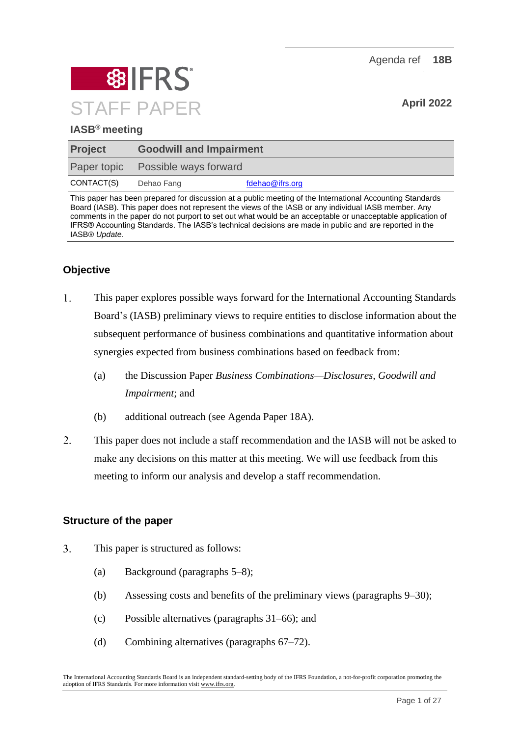Agenda ref **18B**



## **IASB® meeting**

| <b>Project</b>     | <b>Goodwill and Impairment</b> |                 |
|--------------------|--------------------------------|-----------------|
| <b>Paper topic</b> | Possible ways forward          |                 |
| CONTACT(S)         | Dehao Fang                     | fdehao@ifrs.org |

This paper has been prepared for discussion at a public meeting of the International Accounting Standards Board (IASB). This paper does not represent the views of the IASB or any individual IASB member. Any comments in the paper do not purport to set out what would be an acceptable or unacceptable application of IFRS® Accounting Standards. The IASB's technical decisions are made in public and are reported in the IASB® *Update*.

# **Objective**

- 1. This paper explores possible ways forward for the International Accounting Standards Board's (IASB) preliminary views to require entities to disclose information about the subsequent performance of business combinations and quantitative information about synergies expected from business combinations based on feedback from:
	- (a) the Discussion Paper *Business Combinations—Disclosures, Goodwill and Impairment*; and
	- (b) additional outreach (see Agenda Paper 18A).
- $2.$ This paper does not include a staff recommendation and the IASB will not be asked to make any decisions on this matter at this meeting. We will use feedback from this meeting to inform our analysis and develop a staff recommendation.

#### **Structure of the paper**

- $3.$ This paper is structured as follows:
	- (a) Background (paragraphs [5](#page-1-0)[–8\)](#page-2-0);
	- (b) Assessing costs and benefits of the preliminary views (paragraphs [9–](#page-2-1)[30\)](#page-10-0);
	- (c) Possible alternatives (paragraphs [31–](#page-10-1)[66\)](#page-20-0); and
	- (d) Combining alternatives (paragraphs [67–](#page-21-0)[72\)](#page-23-0).

The International Accounting Standards Board is an independent standard-setting body of the IFRS Foundation, a not-for-profit corporation promoting the adoption of IFRS Standards. For more information visit [www.ifrs.org.](http://www.ifrs.org/)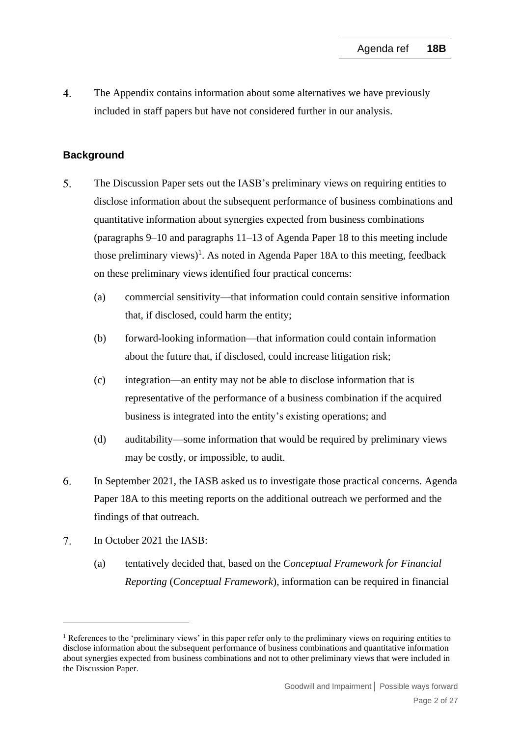$\overline{4}$ . The Appendix contains information about some alternatives we have previously included in staff papers but have not considered further in our analysis.

## **Background**

- <span id="page-1-0"></span>5. The Discussion Paper sets out the IASB's preliminary views on requiring entities to disclose information about the subsequent performance of business combinations and quantitative information about synergies expected from business combinations (paragraphs 9–10 and paragraphs 11–13 of Agenda Paper 18 to this meeting include those preliminary views)<sup>1</sup>. As noted in Agenda Paper 18A to this meeting, feedback on these preliminary views identified four practical concerns:
	- (a) commercial sensitivity—that information could contain sensitive information that, if disclosed, could harm the entity;
	- (b) forward-looking information—that information could contain information about the future that, if disclosed, could increase litigation risk;
	- (c) integration—an entity may not be able to disclose information that is representative of the performance of a business combination if the acquired business is integrated into the entity's existing operations; and
	- (d) auditability—some information that would be required by preliminary views may be costly, or impossible, to audit.
- 6. In September 2021, the IASB asked us to investigate those practical concerns. Agenda Paper 18A to this meeting reports on the additional outreach we performed and the findings of that outreach.
- $7.$ In October 2021 the IASB:
	- (a) tentatively decided that, based on the *Conceptual Framework for Financial Reporting* (*Conceptual Framework*), information can be required in financial

<sup>&</sup>lt;sup>1</sup> References to the 'preliminary views' in this paper refer only to the preliminary views on requiring entities to disclose information about the subsequent performance of business combinations and quantitative information about synergies expected from business combinations and not to other preliminary views that were included in the Discussion Paper.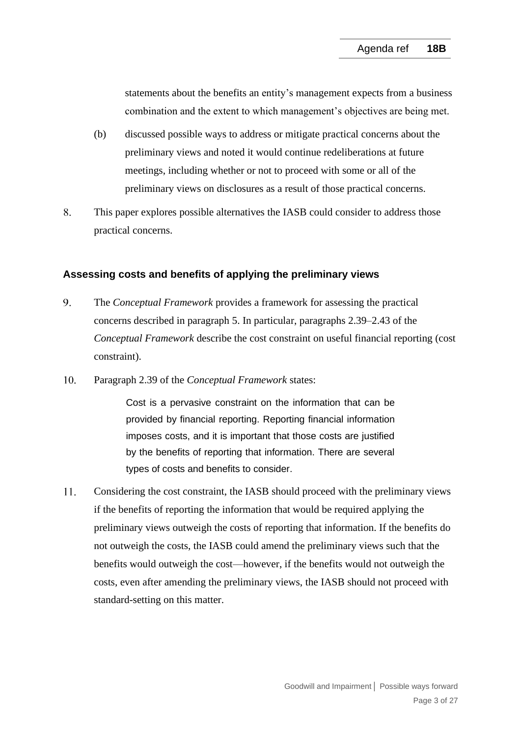statements about the benefits an entity's management expects from a business combination and the extent to which management's objectives are being met.

- (b) discussed possible ways to address or mitigate practical concerns about the preliminary views and noted it would continue redeliberations at future meetings, including whether or not to proceed with some or all of the preliminary views on disclosures as a result of those practical concerns.
- <span id="page-2-0"></span>8. This paper explores possible alternatives the IASB could consider to address those practical concerns.

#### **Assessing costs and benefits of applying the preliminary views**

- <span id="page-2-1"></span> $9<sub>1</sub>$ The *Conceptual Framework* provides a framework for assessing the practical concerns described in paragraph [5.](#page-1-0) In particular, paragraphs 2.39–2.43 of the *Conceptual Framework* describe the cost constraint on useful financial reporting (cost constraint).
- $10.$ Paragraph 2.39 of the *Conceptual Framework* states:

Cost is a pervasive constraint on the information that can be provided by financial reporting. Reporting financial information imposes costs, and it is important that those costs are justified by the benefits of reporting that information. There are several types of costs and benefits to consider.

11. Considering the cost constraint, the IASB should proceed with the preliminary views if the benefits of reporting the information that would be required applying the preliminary views outweigh the costs of reporting that information. If the benefits do not outweigh the costs, the IASB could amend the preliminary views such that the benefits would outweigh the cost—however, if the benefits would not outweigh the costs, even after amending the preliminary views, the IASB should not proceed with standard-setting on this matter.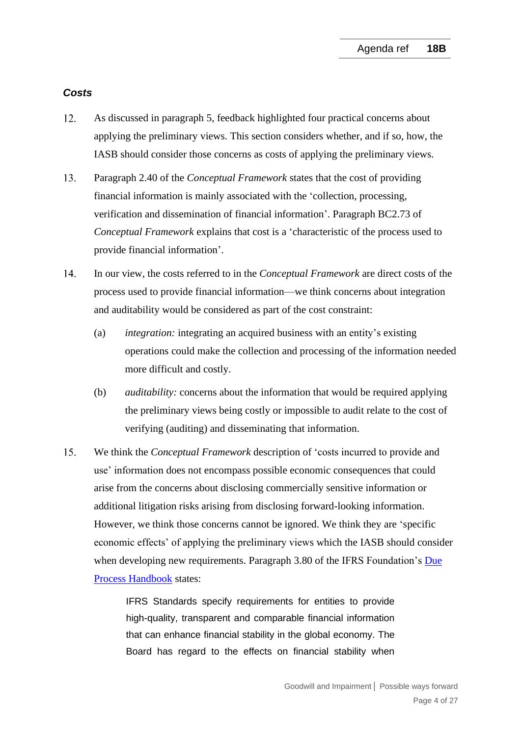#### *Costs*

- <span id="page-3-0"></span> $12.$ As discussed in paragraph [5,](#page-1-0) feedback highlighted four practical concerns about applying the preliminary views. This section considers whether, and if so, how, the IASB should consider those concerns as costs of applying the preliminary views.
- 13. Paragraph 2.40 of the *Conceptual Framework* states that the cost of providing financial information is mainly associated with the 'collection, processing, verification and dissemination of financial information'. Paragraph BC2.73 of *Conceptual Framework* explains that cost is a 'characteristic of the process used to provide financial information'.
- $14<sub>1</sub>$ In our view, the costs referred to in the *Conceptual Framework* are direct costs of the process used to provide financial information—we think concerns about integration and auditability would be considered as part of the cost constraint:
	- (a) *integration:* integrating an acquired business with an entity's existing operations could make the collection and processing of the information needed more difficult and costly.
	- (b) *auditability:* concerns about the information that would be required applying the preliminary views being costly or impossible to audit relate to the cost of verifying (auditing) and disseminating that information.
- $15.$ We think the *Conceptual Framework* description of 'costs incurred to provide and use' information does not encompass possible economic consequences that could arise from the concerns about disclosing commercially sensitive information or additional litigation risks arising from disclosing forward-looking information. However, we think those concerns cannot be ignored. We think they are 'specific economic effects' of applying the preliminary views which the IASB should consider when developing new requirements. Paragraph 3.80 of the IFRS Foundation's Due [Process Handbook](https://www.ifrs.org/content/dam/ifrs/about-us/legal-and-governance/constitution-docs/due-process-handbook-2020.pdf) states:

IFRS Standards specify requirements for entities to provide high-quality, transparent and comparable financial information that can enhance financial stability in the global economy. The Board has regard to the effects on financial stability when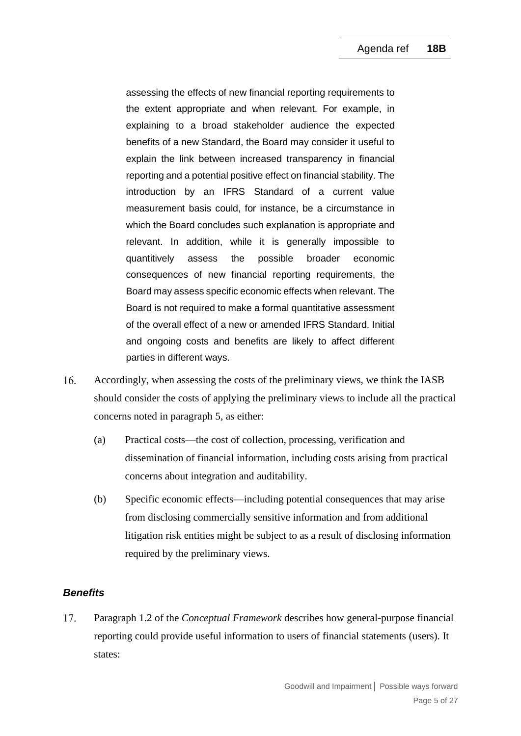assessing the effects of new financial reporting requirements to the extent appropriate and when relevant. For example, in explaining to a broad stakeholder audience the expected benefits of a new Standard, the Board may consider it useful to explain the link between increased transparency in financial reporting and a potential positive effect on financial stability. The introduction by an IFRS Standard of a current value measurement basis could, for instance, be a circumstance in which the Board concludes such explanation is appropriate and relevant. In addition, while it is generally impossible to quantitively assess the possible broader economic consequences of new financial reporting requirements, the Board may assess specific economic effects when relevant. The Board is not required to make a formal quantitative assessment of the overall effect of a new or amended IFRS Standard. Initial and ongoing costs and benefits are likely to affect different parties in different ways.

- <span id="page-4-0"></span> $16.$ Accordingly, when assessing the costs of the preliminary views, we think the IASB should consider the costs of applying the preliminary views to include all the practical concerns noted in paragraph [5,](#page-1-0) as either:
	- (a) Practical costs—the cost of collection, processing, verification and dissemination of financial information, including costs arising from practical concerns about integration and auditability.
	- (b) Specific economic effects—including potential consequences that may arise from disclosing commercially sensitive information and from additional litigation risk entities might be subject to as a result of disclosing information required by the preliminary views.

## *Benefits*

<span id="page-4-1"></span>17. Paragraph 1.2 of the *Conceptual Framework* describes how general-purpose financial reporting could provide useful information to users of financial statements (users). It states: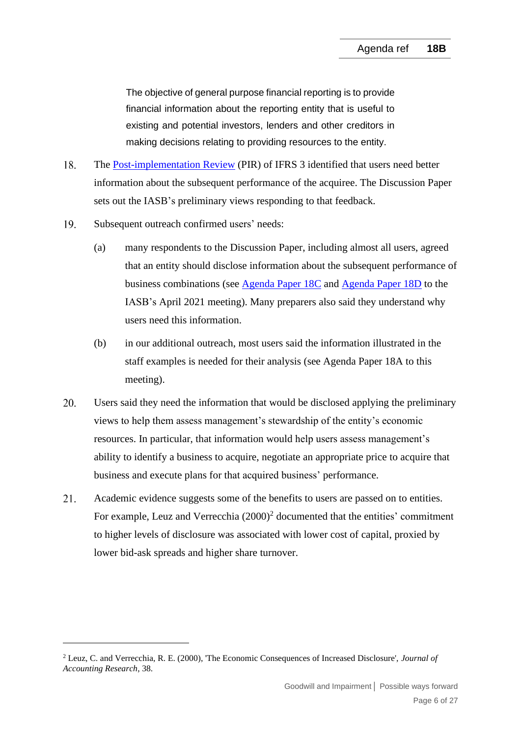The objective of general purpose financial reporting is to provide financial information about the reporting entity that is useful to existing and potential investors, lenders and other creditors in making decisions relating to providing resources to the entity.

- 18. The [Post-implementation Review](https://www.ifrs.org/content/dam/ifrs/project/pir-ifrs-3/published-documents/pir-ifrs-3-report-feedback-statement.pdf) (PIR) of IFRS 3 identified that users need better information about the subsequent performance of the acquiree. The Discussion Paper sets out the IASB's preliminary views responding to that feedback.
- 19. Subsequent outreach confirmed users' needs:
	- (a) many respondents to the Discussion Paper, including almost all users, agreed that an entity should disclose information about the subsequent performance of business combinations (see [Agenda Paper 18C](https://www.ifrs.org/content/dam/ifrs/meetings/2021/april/iasb/ap18c-goodwill-and-impairment-subsequent-performance-of-acquisitions.pdf) and [Agenda Paper 18D](https://www.ifrs.org/content/dam/ifrs/meetings/2021/april/iasb/ap18d-goodwill-and-impairment-other-disclosure.pdf) to the IASB's April 2021 meeting). Many preparers also said they understand why users need this information.
	- (b) in our additional outreach, most users said the information illustrated in the staff examples is needed for their analysis (see Agenda Paper 18A to this meeting).
- 20. Users said they need the information that would be disclosed applying the preliminary views to help them assess management's stewardship of the entity's economic resources. In particular, that information would help users assess management's ability to identify a business to acquire, negotiate an appropriate price to acquire that business and execute plans for that acquired business' performance.
- <span id="page-5-0"></span>21. Academic evidence suggests some of the benefits to users are passed on to entities. For example, Leuz and Verrecchia  $(2000)^2$  documented that the entities' commitment to higher levels of disclosure was associated with lower cost of capital, proxied by lower bid-ask spreads and higher share turnover.

<sup>2</sup> Leuz, C. and Verrecchia, R. E. (2000), 'The Economic Consequences of Increased Disclosure', *Journal of Accounting Research*, 38.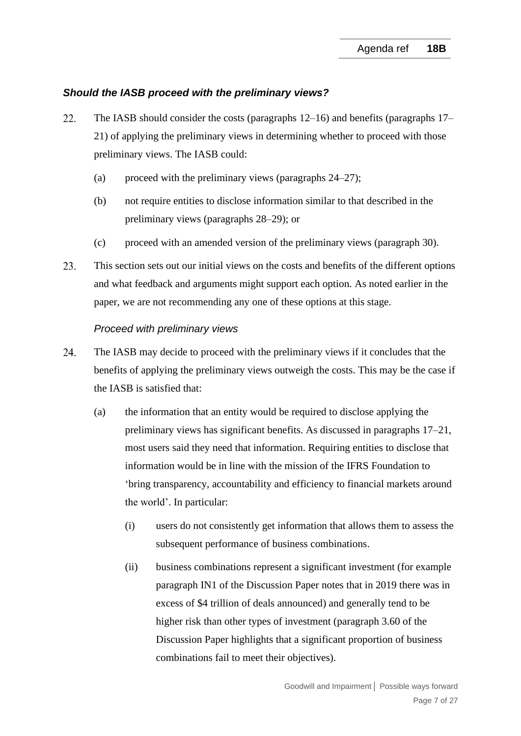#### *Should the IASB proceed with the preliminary views?*

- 22. The IASB should consider the costs (paragraphs [12–](#page-3-0)[16\)](#page-4-0) and benefits (paragraphs [17–](#page-4-1) [21\)](#page-5-0) of applying the preliminary views in determining whether to proceed with those preliminary views. The IASB could:
	- (a) proceed with the preliminary views (paragraphs  $24-27$ );
	- (b) not require entities to disclose information similar to that described in the preliminary views (paragraphs [28–](#page-8-1)[29\)](#page-9-0); or
	- (c) proceed with an amended version of the preliminary views (paragraph [30\)](#page-10-0).
- 23. This section sets out our initial views on the costs and benefits of the different options and what feedback and arguments might support each option. As noted earlier in the paper, we are not recommending any one of these options at this stage.

#### *Proceed with preliminary views*

- <span id="page-6-0"></span>24. The IASB may decide to proceed with the preliminary views if it concludes that the benefits of applying the preliminary views outweigh the costs. This may be the case if the IASB is satisfied that:
	- (a) the information that an entity would be required to disclose applying the preliminary views has significant benefits. As discussed in paragraphs [17–](#page-4-1)[21,](#page-5-0) most users said they need that information. Requiring entities to disclose that information would be in line with the mission of the IFRS Foundation to 'bring transparency, accountability and efficiency to financial markets around the world'. In particular:
		- (i) users do not consistently get information that allows them to assess the subsequent performance of business combinations.
		- (ii) business combinations represent a significant investment (for example paragraph IN1 of the Discussion Paper notes that in 2019 there was in excess of \$4 trillion of deals announced) and generally tend to be higher risk than other types of investment (paragraph 3.60 of the Discussion Paper highlights that a significant proportion of business combinations fail to meet their objectives).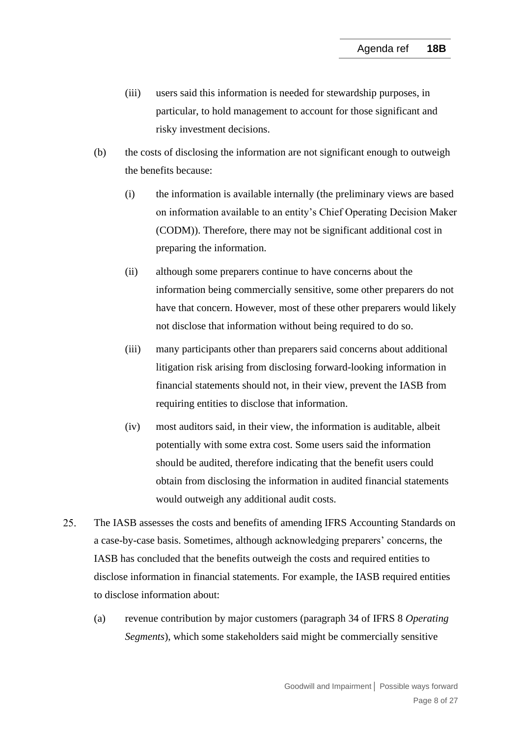- (iii) users said this information is needed for stewardship purposes, in particular, to hold management to account for those significant and risky investment decisions.
- (b) the costs of disclosing the information are not significant enough to outweigh the benefits because:
	- (i) the information is available internally (the preliminary views are based on information available to an entity's Chief Operating Decision Maker (CODM)). Therefore, there may not be significant additional cost in preparing the information.
	- (ii) although some preparers continue to have concerns about the information being commercially sensitive, some other preparers do not have that concern. However, most of these other preparers would likely not disclose that information without being required to do so.
	- (iii) many participants other than preparers said concerns about additional litigation risk arising from disclosing forward-looking information in financial statements should not, in their view, prevent the IASB from requiring entities to disclose that information.
	- (iv) most auditors said, in their view, the information is auditable, albeit potentially with some extra cost. Some users said the information should be audited, therefore indicating that the benefit users could obtain from disclosing the information in audited financial statements would outweigh any additional audit costs.
- $25<sub>1</sub>$ The IASB assesses the costs and benefits of amending IFRS Accounting Standards on a case-by-case basis. Sometimes, although acknowledging preparers' concerns, the IASB has concluded that the benefits outweigh the costs and required entities to disclose information in financial statements. For example, the IASB required entities to disclose information about:
	- (a) revenue contribution by major customers (paragraph 34 of IFRS 8 *Operating Segments*), which some stakeholders said might be commercially sensitive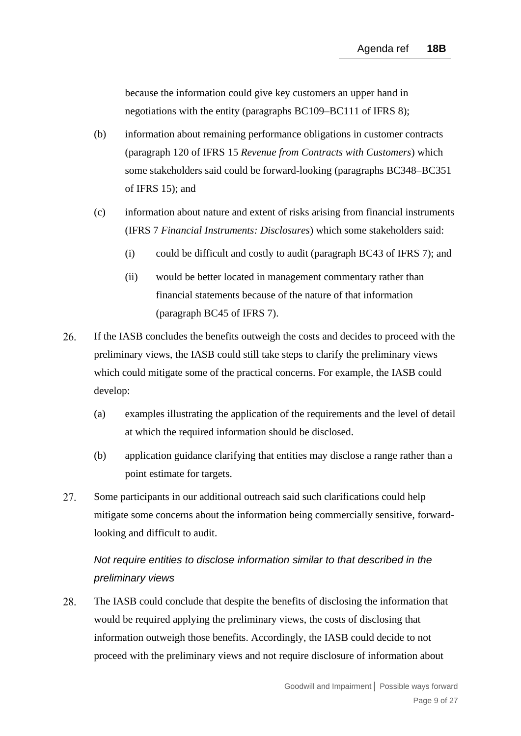because the information could give key customers an upper hand in negotiations with the entity (paragraphs BC109–BC111 of IFRS 8);

- (b) information about remaining performance obligations in customer contracts (paragraph 120 of IFRS 15 *Revenue from Contracts with Customers*) which some stakeholders said could be forward-looking (paragraphs BC348–BC351 of IFRS 15); and
- (c) information about nature and extent of risks arising from financial instruments (IFRS 7 *Financial Instruments: Disclosures*) which some stakeholders said:
	- (i) could be difficult and costly to audit (paragraph BC43 of IFRS 7); and
	- (ii) would be better located in management commentary rather than financial statements because of the nature of that information (paragraph BC45 of IFRS 7).
- 26. If the IASB concludes the benefits outweigh the costs and decides to proceed with the preliminary views, the IASB could still take steps to clarify the preliminary views which could mitigate some of the practical concerns. For example, the IASB could develop:
	- (a) examples illustrating the application of the requirements and the level of detail at which the required information should be disclosed.
	- (b) application guidance clarifying that entities may disclose a range rather than a point estimate for targets.
- <span id="page-8-0"></span>27. Some participants in our additional outreach said such clarifications could help mitigate some concerns about the information being commercially sensitive, forwardlooking and difficult to audit.

# *Not require entities to disclose information similar to that described in the preliminary views*

<span id="page-8-1"></span>28. The IASB could conclude that despite the benefits of disclosing the information that would be required applying the preliminary views, the costs of disclosing that information outweigh those benefits. Accordingly, the IASB could decide to not proceed with the preliminary views and not require disclosure of information about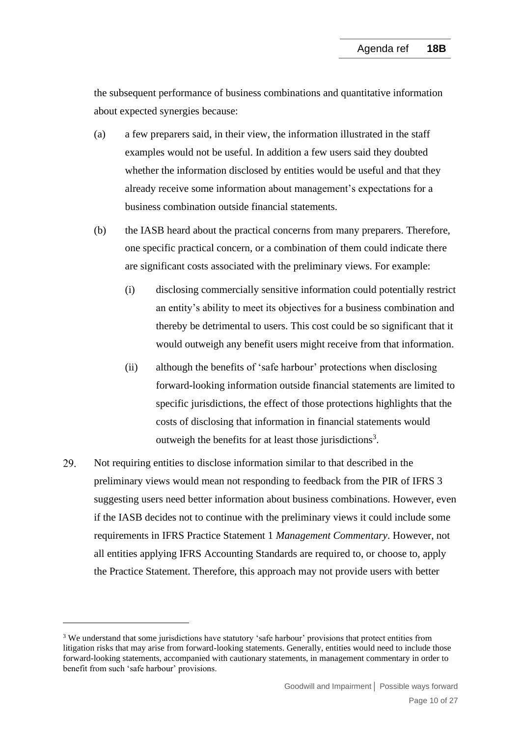the subsequent performance of business combinations and quantitative information about expected synergies because:

- (a) a few preparers said, in their view, the information illustrated in the staff examples would not be useful. In addition a few users said they doubted whether the information disclosed by entities would be useful and that they already receive some information about management's expectations for a business combination outside financial statements.
- (b) the IASB heard about the practical concerns from many preparers. Therefore, one specific practical concern, or a combination of them could indicate there are significant costs associated with the preliminary views. For example:
	- (i) disclosing commercially sensitive information could potentially restrict an entity's ability to meet its objectives for a business combination and thereby be detrimental to users. This cost could be so significant that it would outweigh any benefit users might receive from that information.
	- (ii) although the benefits of 'safe harbour' protections when disclosing forward-looking information outside financial statements are limited to specific jurisdictions, the effect of those protections highlights that the costs of disclosing that information in financial statements would outweigh the benefits for at least those jurisdictions<sup>3</sup>.
- <span id="page-9-0"></span>29. Not requiring entities to disclose information similar to that described in the preliminary views would mean not responding to feedback from the PIR of IFRS 3 suggesting users need better information about business combinations. However, even if the IASB decides not to continue with the preliminary views it could include some requirements in IFRS Practice Statement 1 *Management Commentary*. However, not all entities applying IFRS Accounting Standards are required to, or choose to, apply the Practice Statement. Therefore, this approach may not provide users with better

<sup>&</sup>lt;sup>3</sup> We understand that some jurisdictions have statutory 'safe harbour' provisions that protect entities from litigation risks that may arise from forward-looking statements. Generally, entities would need to include those forward-looking statements, accompanied with cautionary statements, in management commentary in order to benefit from such 'safe harbour' provisions.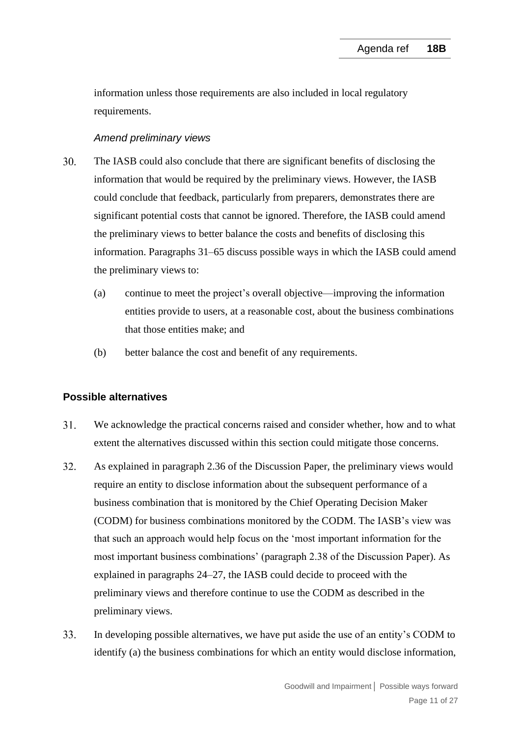information unless those requirements are also included in local regulatory requirements.

#### *Amend preliminary views*

- <span id="page-10-0"></span> $30<sub>1</sub>$ The IASB could also conclude that there are significant benefits of disclosing the information that would be required by the preliminary views. However, the IASB could conclude that feedback, particularly from preparers, demonstrates there are significant potential costs that cannot be ignored. Therefore, the IASB could amend the preliminary views to better balance the costs and benefits of disclosing this information. Paragraphs [31–](#page-10-1)[65](#page-19-0) discuss possible ways in which the IASB could amend the preliminary views to:
	- (a) continue to meet the project's overall objective—improving the information entities provide to users, at a reasonable cost, about the business combinations that those entities make; and
	- (b) better balance the cost and benefit of any requirements.

## **Possible alternatives**

- <span id="page-10-1"></span> $31.$ We acknowledge the practical concerns raised and consider whether, how and to what extent the alternatives discussed within this section could mitigate those concerns.
- <span id="page-10-2"></span>32. As explained in paragraph 2.36 of the Discussion Paper, the preliminary views would require an entity to disclose information about the subsequent performance of a business combination that is monitored by the Chief Operating Decision Maker (CODM) for business combinations monitored by the CODM. The IASB's view was that such an approach would help focus on the 'most important information for the most important business combinations' (paragraph 2.38 of the Discussion Paper). As explained in paragraphs [24](#page-6-0)[–27,](#page-8-0) the IASB could decide to proceed with the preliminary views and therefore continue to use the CODM as described in the preliminary views.
- 33. In developing possible alternatives, we have put aside the use of an entity's CODM to identify (a) the business combinations for which an entity would disclose information,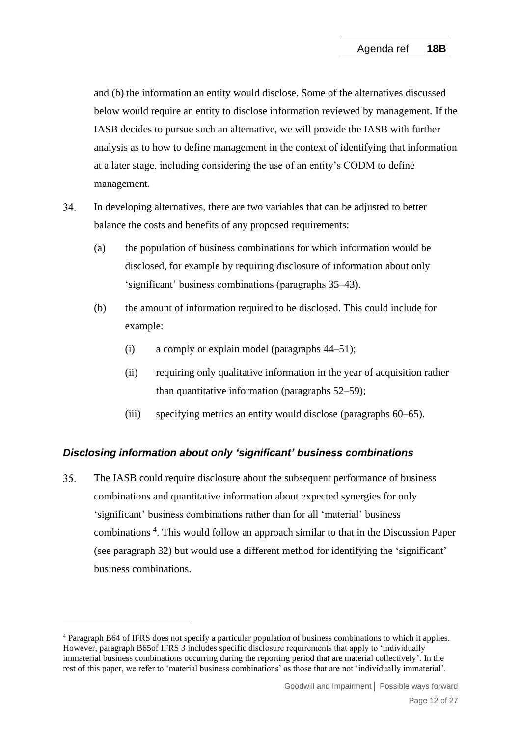and (b) the information an entity would disclose. Some of the alternatives discussed below would require an entity to disclose information reviewed by management. If the IASB decides to pursue such an alternative, we will provide the IASB with further analysis as to how to define management in the context of identifying that information at a later stage, including considering the use of an entity's CODM to define management.

- <span id="page-11-1"></span>34. In developing alternatives, there are two variables that can be adjusted to better balance the costs and benefits of any proposed requirements:
	- (a) the population of business combinations for which information would be disclosed, for example by requiring disclosure of information about only 'significant' business combinations (paragraphs [35](#page-11-0)[–43\)](#page-13-0).
	- (b) the amount of information required to be disclosed. This could include for example:
		- (i) a comply or explain model (paragraphs [44](#page-14-0)[–51\)](#page-16-0);
		- (ii) requiring only qualitative information in the year of acquisition rather than quantitative information (paragraphs [52–](#page-16-1)[59\)](#page-18-0);
		- (iii) specifying metrics an entity would disclose (paragraphs [60](#page-18-1)[–65\)](#page-19-0).

# *Disclosing information about only 'significant' business combinations*

<span id="page-11-0"></span>35. The IASB could require disclosure about the subsequent performance of business combinations and quantitative information about expected synergies for only 'significant' business combinations rather than for all 'material' business combinations<sup>4</sup>. This would follow an approach similar to that in the Discussion Paper (see paragraph [32\)](#page-10-2) but would use a different method for identifying the 'significant' business combinations.

<sup>4</sup> Paragraph B64 of IFRS does not specify a particular population of business combinations to which it applies. However, paragraph B65of IFRS 3 includes specific disclosure requirements that apply to 'individually immaterial business combinations occurring during the reporting period that are material collectively'. In the rest of this paper, we refer to 'material business combinations' as those that are not 'individually immaterial'.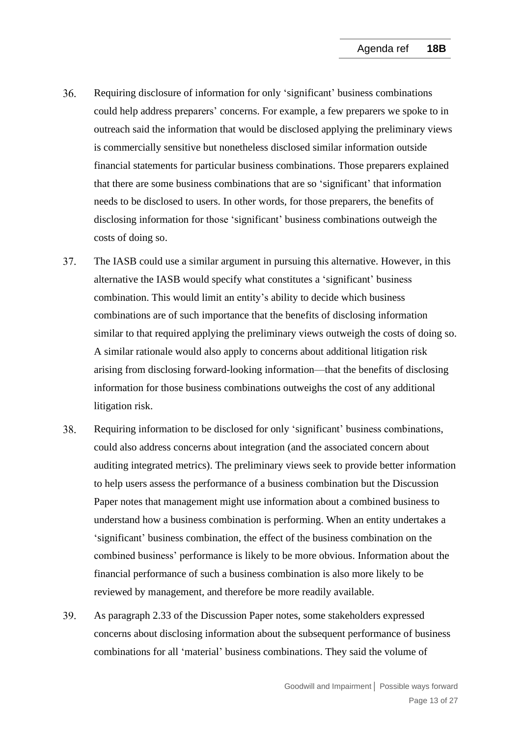- <span id="page-12-1"></span> $36.$ Requiring disclosure of information for only 'significant' business combinations could help address preparers' concerns. For example, a few preparers we spoke to in outreach said the information that would be disclosed applying the preliminary views is commercially sensitive but nonetheless disclosed similar information outside financial statements for particular business combinations. Those preparers explained that there are some business combinations that are so 'significant' that information needs to be disclosed to users. In other words, for those preparers, the benefits of disclosing information for those 'significant' business combinations outweigh the costs of doing so.
- 37. The IASB could use a similar argument in pursuing this alternative. However, in this alternative the IASB would specify what constitutes a 'significant' business combination. This would limit an entity's ability to decide which business combinations are of such importance that the benefits of disclosing information similar to that required applying the preliminary views outweigh the costs of doing so. A similar rationale would also apply to concerns about additional litigation risk arising from disclosing forward-looking information—that the benefits of disclosing information for those business combinations outweighs the cost of any additional litigation risk.
- <span id="page-12-0"></span>38. Requiring information to be disclosed for only 'significant' business combinations, could also address concerns about integration (and the associated concern about auditing integrated metrics). The preliminary views seek to provide better information to help users assess the performance of a business combination but the Discussion Paper notes that management might use information about a combined business to understand how a business combination is performing. When an entity undertakes a 'significant' business combination, the effect of the business combination on the combined business' performance is likely to be more obvious. Information about the financial performance of such a business combination is also more likely to be reviewed by management, and therefore be more readily available.
- 39. As paragraph 2.33 of the Discussion Paper notes, some stakeholders expressed concerns about disclosing information about the subsequent performance of business combinations for all 'material' business combinations. They said the volume of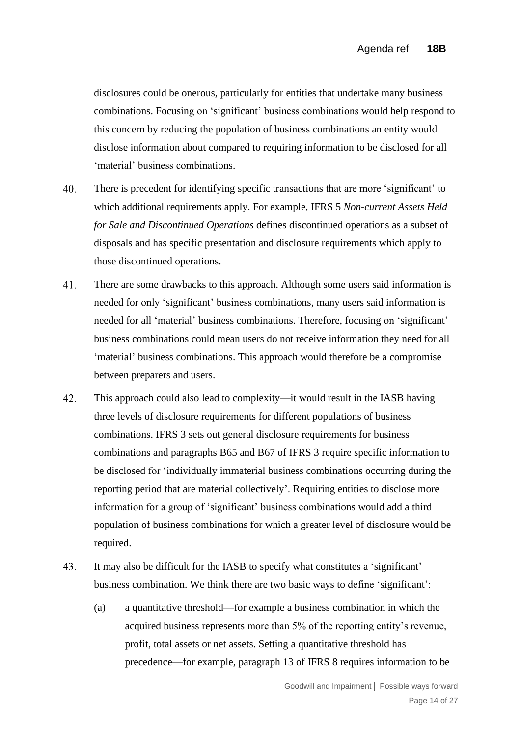disclosures could be onerous, particularly for entities that undertake many business combinations. Focusing on 'significant' business combinations would help respond to this concern by reducing the population of business combinations an entity would disclose information about compared to requiring information to be disclosed for all 'material' business combinations.

- $40<sub>1</sub>$ There is precedent for identifying specific transactions that are more 'significant' to which additional requirements apply. For example, IFRS 5 *Non-current Assets Held for Sale and Discontinued Operations* defines discontinued operations as a subset of disposals and has specific presentation and disclosure requirements which apply to those discontinued operations.
- $41.$ There are some drawbacks to this approach. Although some users said information is needed for only 'significant' business combinations, many users said information is needed for all 'material' business combinations. Therefore, focusing on 'significant' business combinations could mean users do not receive information they need for all 'material' business combinations. This approach would therefore be a compromise between preparers and users.
- 42. This approach could also lead to complexity—it would result in the IASB having three levels of disclosure requirements for different populations of business combinations. IFRS 3 sets out general disclosure requirements for business combinations and paragraphs B65 and B67 of IFRS 3 require specific information to be disclosed for 'individually immaterial business combinations occurring during the reporting period that are material collectively'. Requiring entities to disclose more information for a group of 'significant' business combinations would add a third population of business combinations for which a greater level of disclosure would be required.
- <span id="page-13-0"></span>43. It may also be difficult for the IASB to specify what constitutes a 'significant' business combination. We think there are two basic ways to define 'significant':
	- (a) a quantitative threshold—for example a business combination in which the acquired business represents more than 5% of the reporting entity's revenue, profit, total assets or net assets. Setting a quantitative threshold has precedence—for example, paragraph 13 of IFRS 8 requires information to be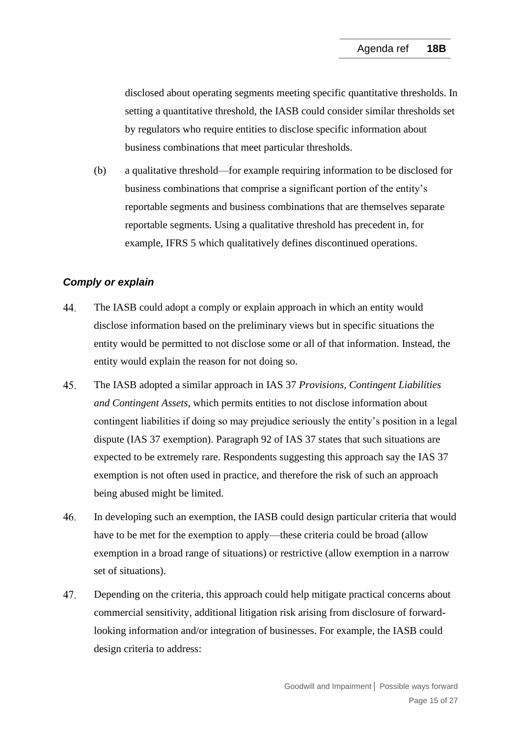disclosed about operating segments meeting specific quantitative thresholds. In setting a quantitative threshold, the IASB could consider similar thresholds set by regulators who require entities to disclose specific information about business combinations that meet particular thresholds.

(b) a qualitative threshold—for example requiring information to be disclosed for business combinations that comprise a significant portion of the entity's reportable segments and business combinations that are themselves separate reportable segments. Using a qualitative threshold has precedent in, for example, IFRS 5 which qualitatively defines discontinued operations.

## *Comply or explain*

- <span id="page-14-0"></span>44. The IASB could adopt a comply or explain approach in which an entity would disclose information based on the preliminary views but in specific situations the entity would be permitted to not disclose some or all of that information. Instead, the entity would explain the reason for not doing so.
- 45. The IASB adopted a similar approach in IAS 37 *Provisions, Contingent Liabilities and Contingent Assets*, which permits entities to not disclose information about contingent liabilities if doing so may prejudice seriously the entity's position in a legal dispute (IAS 37 exemption). Paragraph 92 of IAS 37 states that such situations are expected to be extremely rare. Respondents suggesting this approach say the IAS 37 exemption is not often used in practice, and therefore the risk of such an approach being abused might be limited.
- 46. In developing such an exemption, the IASB could design particular criteria that would have to be met for the exemption to apply—these criteria could be broad (allow exemption in a broad range of situations) or restrictive (allow exemption in a narrow set of situations).
- 47. Depending on the criteria, this approach could help mitigate practical concerns about commercial sensitivity, additional litigation risk arising from disclosure of forwardlooking information and/or integration of businesses. For example, the IASB could design criteria to address: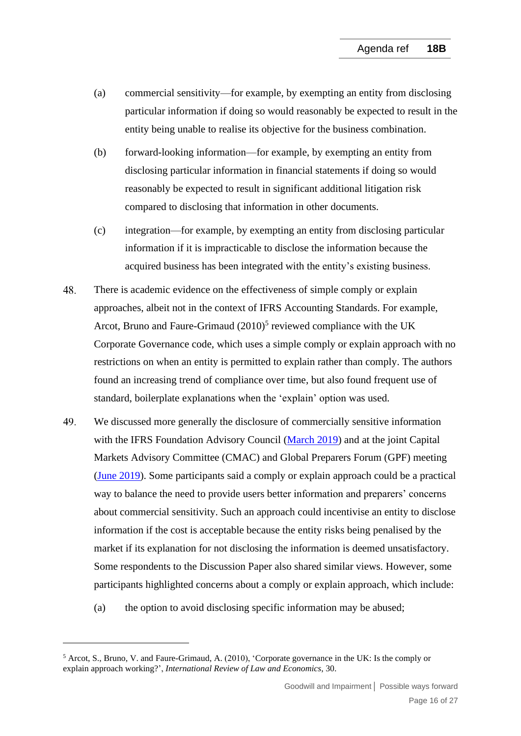- (a) commercial sensitivity—for example, by exempting an entity from disclosing particular information if doing so would reasonably be expected to result in the entity being unable to realise its objective for the business combination.
- <span id="page-15-0"></span>(b) forward-looking information—for example, by exempting an entity from disclosing particular information in financial statements if doing so would reasonably be expected to result in significant additional litigation risk compared to disclosing that information in other documents.
- (c) integration—for example, by exempting an entity from disclosing particular information if it is impracticable to disclose the information because the acquired business has been integrated with the entity's existing business.
- 48. There is academic evidence on the effectiveness of simple comply or explain approaches, albeit not in the context of IFRS Accounting Standards. For example, Arcot, Bruno and Faure-Grimaud (2010)<sup>5</sup> reviewed compliance with the UK Corporate Governance code, which uses a simple comply or explain approach with no restrictions on when an entity is permitted to explain rather than comply. The authors found an increasing trend of compliance over time, but also found frequent use of standard, boilerplate explanations when the 'explain' option was used.
- 49. We discussed more generally the disclosure of commercially sensitive information with the IFRS Foundation Advisory Council [\(March](https://www.ifrs.org/content/dam/ifrs/meetings/2019/march/advisory-council/ap3-disclosure-of-sensitive-information.pdf) 2019) and at the joint Capital Markets Advisory Committee (CMAC) and Global Preparers Forum (GPF) meeting (June [2019\)](https://www.ifrs.org/content/dam/ifrs/meetings/2019/june/gpf-and-cmac/ap2-disclosure-of-sensitive-information.pdf). Some participants said a comply or explain approach could be a practical way to balance the need to provide users better information and preparers' concerns about commercial sensitivity. Such an approach could incentivise an entity to disclose information if the cost is acceptable because the entity risks being penalised by the market if its explanation for not disclosing the information is deemed unsatisfactory. Some respondents to the Discussion Paper also shared similar views. However, some participants highlighted concerns about a comply or explain approach, which include:
	- (a) the option to avoid disclosing specific information may be abused;

<sup>5</sup> Arcot, S., Bruno, V. and Faure-Grimaud, A. (2010), 'Corporate governance in the UK: Is the comply or explain approach working?', *International Review of Law and Economics*, 30.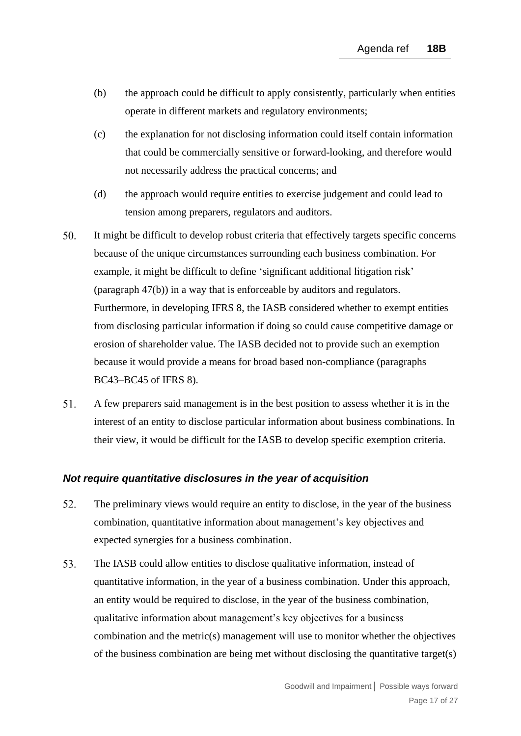- (b) the approach could be difficult to apply consistently, particularly when entities operate in different markets and regulatory environments;
- (c) the explanation for not disclosing information could itself contain information that could be commercially sensitive or forward-looking, and therefore would not necessarily address the practical concerns; and
- (d) the approach would require entities to exercise judgement and could lead to tension among preparers, regulators and auditors.
- <span id="page-16-2"></span> $50<sub>1</sub>$ It might be difficult to develop robust criteria that effectively targets specific concerns because of the unique circumstances surrounding each business combination. For example, it might be difficult to define 'significant additional litigation risk' (paragraph [47\(b\)\)](#page-15-0) in a way that is enforceable by auditors and regulators. Furthermore, in developing IFRS 8, the IASB considered whether to exempt entities from disclosing particular information if doing so could cause competitive damage or erosion of shareholder value. The IASB decided not to provide such an exemption because it would provide a means for broad based non-compliance (paragraphs BC43–BC45 of IFRS 8).
- <span id="page-16-0"></span>51. A few preparers said management is in the best position to assess whether it is in the interest of an entity to disclose particular information about business combinations. In their view, it would be difficult for the IASB to develop specific exemption criteria.

## *Not require quantitative disclosures in the year of acquisition*

- <span id="page-16-1"></span>52. The preliminary views would require an entity to disclose, in the year of the business combination, quantitative information about management's key objectives and expected synergies for a business combination.
- 53. The IASB could allow entities to disclose qualitative information, instead of quantitative information, in the year of a business combination. Under this approach, an entity would be required to disclose, in the year of the business combination, qualitative information about management's key objectives for a business combination and the metric(s) management will use to monitor whether the objectives of the business combination are being met without disclosing the quantitative target(s)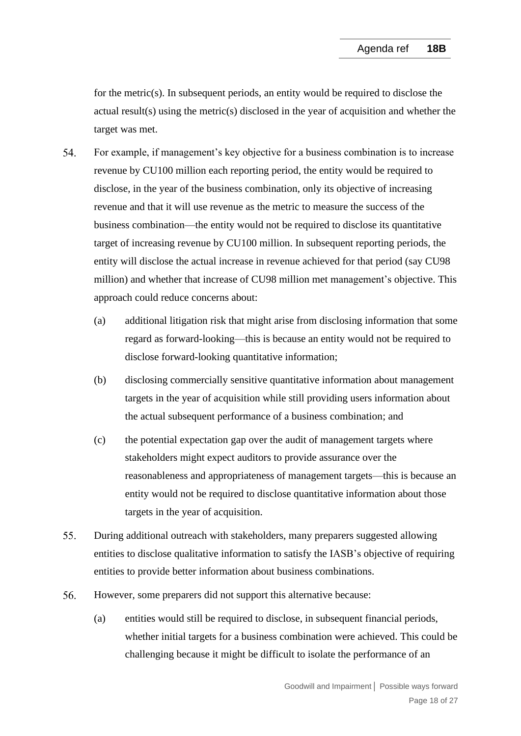for the metric(s). In subsequent periods, an entity would be required to disclose the actual result(s) using the metric(s) disclosed in the year of acquisition and whether the target was met.

- 54. For example, if management's key objective for a business combination is to increase revenue by CU100 million each reporting period, the entity would be required to disclose, in the year of the business combination, only its objective of increasing revenue and that it will use revenue as the metric to measure the success of the business combination—the entity would not be required to disclose its quantitative target of increasing revenue by CU100 million. In subsequent reporting periods, the entity will disclose the actual increase in revenue achieved for that period (say CU98 million) and whether that increase of CU98 million met management's objective. This approach could reduce concerns about:
	- (a) additional litigation risk that might arise from disclosing information that some regard as forward-looking—this is because an entity would not be required to disclose forward-looking quantitative information;
	- (b) disclosing commercially sensitive quantitative information about management targets in the year of acquisition while still providing users information about the actual subsequent performance of a business combination; and
	- (c) the potential expectation gap over the audit of management targets where stakeholders might expect auditors to provide assurance over the reasonableness and appropriateness of management targets—this is because an entity would not be required to disclose quantitative information about those targets in the year of acquisition.
- 55. During additional outreach with stakeholders, many preparers suggested allowing entities to disclose qualitative information to satisfy the IASB's objective of requiring entities to provide better information about business combinations.
- 56. However, some preparers did not support this alternative because:
	- (a) entities would still be required to disclose, in subsequent financial periods, whether initial targets for a business combination were achieved. This could be challenging because it might be difficult to isolate the performance of an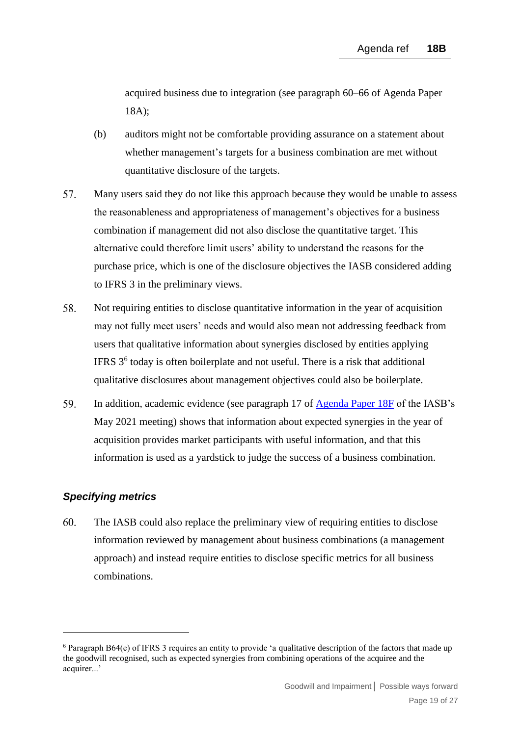acquired business due to integration (see paragraph 60–66 of Agenda Paper 18A);

- (b) auditors might not be comfortable providing assurance on a statement about whether management's targets for a business combination are met without quantitative disclosure of the targets.
- 57. Many users said they do not like this approach because they would be unable to assess the reasonableness and appropriateness of management's objectives for a business combination if management did not also disclose the quantitative target. This alternative could therefore limit users' ability to understand the reasons for the purchase price, which is one of the disclosure objectives the IASB considered adding to IFRS 3 in the preliminary views.
- 58. Not requiring entities to disclose quantitative information in the year of acquisition may not fully meet users' needs and would also mean not addressing feedback from users that qualitative information about synergies disclosed by entities applying IFRS 3<sup>6</sup> today is often boilerplate and not useful. There is a risk that additional qualitative disclosures about management objectives could also be boilerplate.
- <span id="page-18-0"></span>59. In addition, academic evidence (see paragraph 17 of [Agenda Paper 18F](https://www.ifrs.org/content/dam/ifrs/meetings/2021/may/iasb/ap18f-academic-evidence.pdf) of the IASB's May 2021 meeting) shows that information about expected synergies in the year of acquisition provides market participants with useful information, and that this information is used as a yardstick to judge the success of a business combination.

# *Specifying metrics*

<span id="page-18-1"></span>60. The IASB could also replace the preliminary view of requiring entities to disclose information reviewed by management about business combinations (a management approach) and instead require entities to disclose specific metrics for all business combinations.

<sup>6</sup> Paragraph B64(e) of IFRS 3 requires an entity to provide 'a qualitative description of the factors that made up the goodwill recognised, such as expected synergies from combining operations of the acquiree and the acquirer...'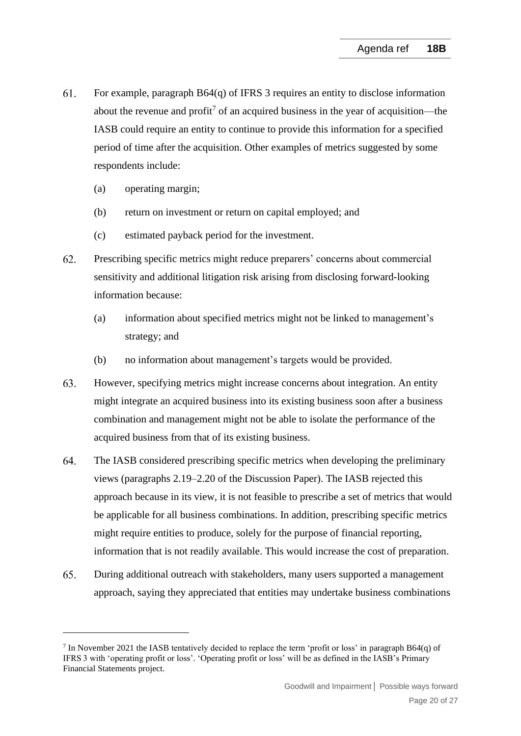- 61. For example, paragraph B64(q) of IFRS 3 requires an entity to disclose information about the revenue and profit<sup>7</sup> of an acquired business in the year of acquisition—the IASB could require an entity to continue to provide this information for a specified period of time after the acquisition. Other examples of metrics suggested by some respondents include:
	- (a) operating margin;
	- (b) return on investment or return on capital employed; and
	- (c) estimated payback period for the investment.
- 62. Prescribing specific metrics might reduce preparers' concerns about commercial sensitivity and additional litigation risk arising from disclosing forward-looking information because:
	- (a) information about specified metrics might not be linked to management's strategy; and
	- (b) no information about management's targets would be provided.
- 63. However, specifying metrics might increase concerns about integration. An entity might integrate an acquired business into its existing business soon after a business combination and management might not be able to isolate the performance of the acquired business from that of its existing business.
- 64. The IASB considered prescribing specific metrics when developing the preliminary views (paragraphs 2.19–2.20 of the Discussion Paper). The IASB rejected this approach because in its view, it is not feasible to prescribe a set of metrics that would be applicable for all business combinations. In addition, prescribing specific metrics might require entities to produce, solely for the purpose of financial reporting, information that is not readily available. This would increase the cost of preparation.
- <span id="page-19-0"></span>65. During additional outreach with stakeholders, many users supported a management approach, saying they appreciated that entities may undertake business combinations

 $7$  In November 2021 the IASB tentatively decided to replace the term 'profit or loss' in paragraph B64(q) of IFRS 3 with 'operating profit or loss'. 'Operating profit or loss' will be as defined in the IASB's Primary Financial Statements project.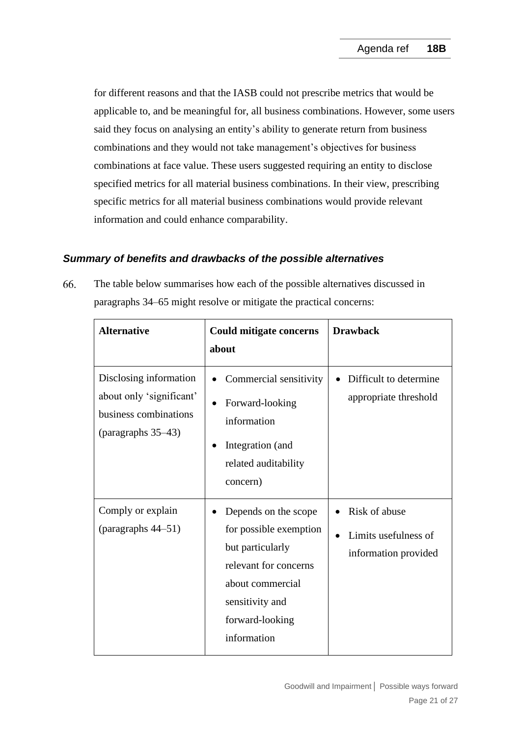for different reasons and that the IASB could not prescribe metrics that would be applicable to, and be meaningful for, all business combinations. However, some users said they focus on analysing an entity's ability to generate return from business combinations and they would not take management's objectives for business combinations at face value. These users suggested requiring an entity to disclose specified metrics for all material business combinations. In their view, prescribing specific metrics for all material business combinations would provide relevant information and could enhance comparability.

# *Summary of benefits and drawbacks of the possible alternatives*

<span id="page-20-0"></span>66. The table below summarises how each of the possible alternatives discussed in paragraphs [34–](#page-11-1)[65](#page-19-0) might resolve or mitigate the practical concerns:

| <b>Alternative</b>                                                                                | <b>Could mitigate concerns</b>                                                                                                                                       | <b>Drawback</b>                                               |
|---------------------------------------------------------------------------------------------------|----------------------------------------------------------------------------------------------------------------------------------------------------------------------|---------------------------------------------------------------|
|                                                                                                   | about                                                                                                                                                                |                                                               |
| Disclosing information<br>about only 'significant'<br>business combinations<br>(paragraphs 35–43) | Commercial sensitivity<br>$\bullet$<br>Forward-looking<br>information<br>Integration (and<br>related auditability<br>concern)                                        | Difficult to determine<br>$\bullet$<br>appropriate threshold  |
| Comply or explain<br>(paragraphs 44-51)                                                           | Depends on the scope<br>for possible exemption<br>but particularly<br>relevant for concerns<br>about commercial<br>sensitivity and<br>forward-looking<br>information | Risk of abuse<br>Limits usefulness of<br>information provided |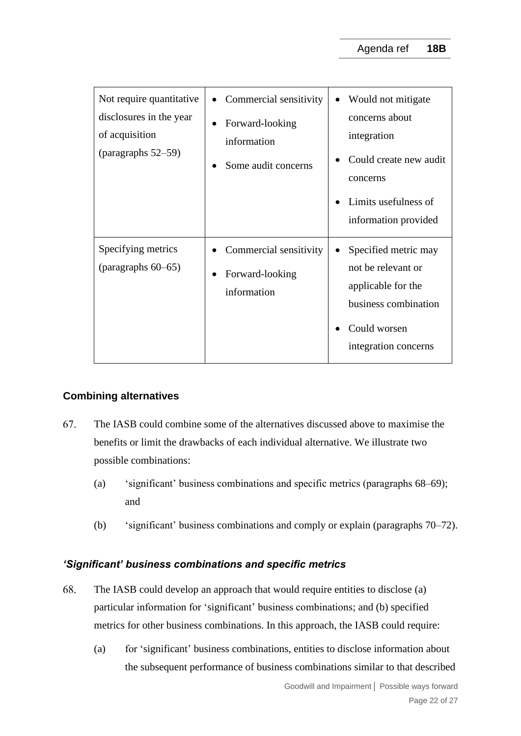| Not require quantitative<br>disclosures in the year<br>of acquisition<br>(paragraphs $52-59$ ) | Commercial sensitivity<br>Forward-looking<br>information<br>Some audit concerns | Would not mitigate<br>concerns about<br>integration<br>Could create new audit<br>concerns<br>Limits usefulness of<br>information provided |
|------------------------------------------------------------------------------------------------|---------------------------------------------------------------------------------|-------------------------------------------------------------------------------------------------------------------------------------------|
| Specifying metrics<br>(paragraphs $60-65$ )                                                    | Commercial sensitivity<br>Forward-looking<br>information                        | Specified metric may<br>not be relevant or<br>applicable for the<br>business combination<br>Could worsen<br>integration concerns          |

## **Combining alternatives**

- <span id="page-21-0"></span>67. The IASB could combine some of the alternatives discussed above to maximise the benefits or limit the drawbacks of each individual alternative. We illustrate two possible combinations:
	- (a) 'significant' business combinations and specific metrics (paragraphs [68–](#page-21-1)[69\)](#page-22-0); and
	- (b) 'significant' business combinations and comply or explain (paragraphs [70](#page-22-1)[–72\)](#page-23-0).

## *'Significant' business combinations and specific metrics*

- <span id="page-21-1"></span>68. The IASB could develop an approach that would require entities to disclose (a) particular information for 'significant' business combinations; and (b) specified metrics for other business combinations. In this approach, the IASB could require:
	- (a) for 'significant' business combinations, entities to disclose information about the subsequent performance of business combinations similar to that described

Goodwill and Impairment**│** Possible ways forward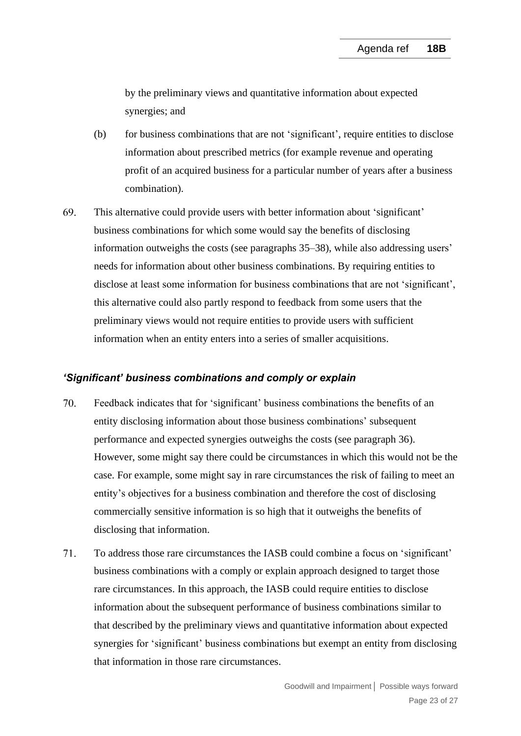by the preliminary views and quantitative information about expected synergies; and

- (b) for business combinations that are not 'significant', require entities to disclose information about prescribed metrics (for example revenue and operating profit of an acquired business for a particular number of years after a business combination).
- <span id="page-22-0"></span>69. This alternative could provide users with better information about 'significant' business combinations for which some would say the benefits of disclosing information outweighs the costs (see paragraphs [35](#page-11-0)[–38\)](#page-12-0), while also addressing users' needs for information about other business combinations. By requiring entities to disclose at least some information for business combinations that are not 'significant', this alternative could also partly respond to feedback from some users that the preliminary views would not require entities to provide users with sufficient information when an entity enters into a series of smaller acquisitions.

#### *'Significant' business combinations and comply or explain*

- <span id="page-22-1"></span>70. Feedback indicates that for 'significant' business combinations the benefits of an entity disclosing information about those business combinations' subsequent performance and expected synergies outweighs the costs (see paragraph [36\)](#page-12-1). However, some might say there could be circumstances in which this would not be the case. For example, some might say in rare circumstances the risk of failing to meet an entity's objectives for a business combination and therefore the cost of disclosing commercially sensitive information is so high that it outweighs the benefits of disclosing that information.
- $71.$ To address those rare circumstances the IASB could combine a focus on 'significant' business combinations with a comply or explain approach designed to target those rare circumstances. In this approach, the IASB could require entities to disclose information about the subsequent performance of business combinations similar to that described by the preliminary views and quantitative information about expected synergies for 'significant' business combinations but exempt an entity from disclosing that information in those rare circumstances.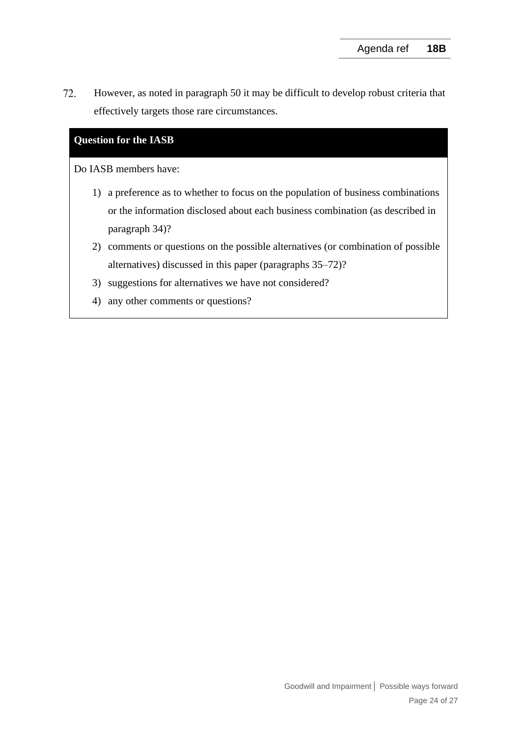<span id="page-23-0"></span>72. However, as noted in paragraph [50](#page-16-2) it may be difficult to develop robust criteria that effectively targets those rare circumstances.

# **Question for the IASB**

Do IASB members have:

- 1) a preference as to whether to focus on the population of business combinations or the information disclosed about each business combination (as described in paragraph [34\)](#page-11-1)?
- 2) comments or questions on the possible alternatives (or combination of possible alternatives) discussed in this paper (paragraphs [35–](#page-11-0)[72\)](#page-23-0)?
- 3) suggestions for alternatives we have not considered?
- 4) any other comments or questions?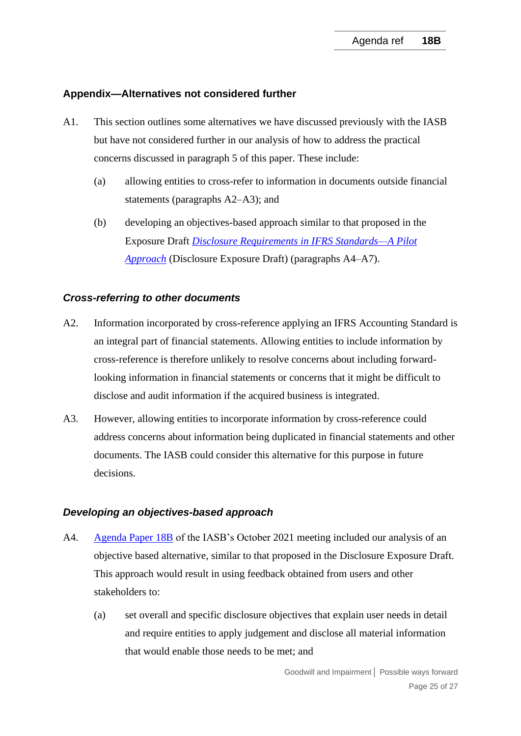#### **Appendix—Alternatives not considered further**

- A1. This section outlines some alternatives we have discussed previously with the IASB but have not considered further in our analysis of how to address the practical concerns discussed in paragraph [5](#page-1-0) of this paper. These include:
	- (a) allowing entities to cross-refer to information in documents outside financial statements (paragraphs [A2–](#page-24-0)[A3\)](#page-24-1); and
	- (b) developing an objectives-based approach similar to that proposed in the Exposure Draft *[Disclosure Requirements in IFRS Standards—A Pilot](https://www.ifrs.org/content/dam/ifrs/project/disclosure-initative/disclosure-initiative-principles-of-disclosure/ed2021-3-di-tslr.pdf)  [Approach](https://www.ifrs.org/content/dam/ifrs/project/disclosure-initative/disclosure-initiative-principles-of-disclosure/ed2021-3-di-tslr.pdf)* (Disclosure Exposure Draft) (paragraphs [A4](#page-24-2)[–A7\)](#page-25-0).

#### *Cross-referring to other documents*

- <span id="page-24-0"></span>A2. Information incorporated by cross-reference applying an IFRS Accounting Standard is an integral part of financial statements. Allowing entities to include information by cross-reference is therefore unlikely to resolve concerns about including forwardlooking information in financial statements or concerns that it might be difficult to disclose and audit information if the acquired business is integrated.
- <span id="page-24-1"></span>A3. However, allowing entities to incorporate information by cross-reference could address concerns about information being duplicated in financial statements and other documents. The IASB could consider this alternative for this purpose in future decisions.

#### *Developing an objectives-based approach*

- <span id="page-24-2"></span>A4. [Agenda Paper 18B](https://www.ifrs.org/content/dam/ifrs/meetings/2021/october/iasb/ap18b-goodwill-impairment-practical-challenges-for-forward-looking-information.pdf) of the IASB's October 2021 meeting included our analysis of an objective based alternative, similar to that proposed in the Disclosure Exposure Draft. This approach would result in using feedback obtained from users and other stakeholders to:
	- (a) set overall and specific disclosure objectives that explain user needs in detail and require entities to apply judgement and disclose all material information that would enable those needs to be met; and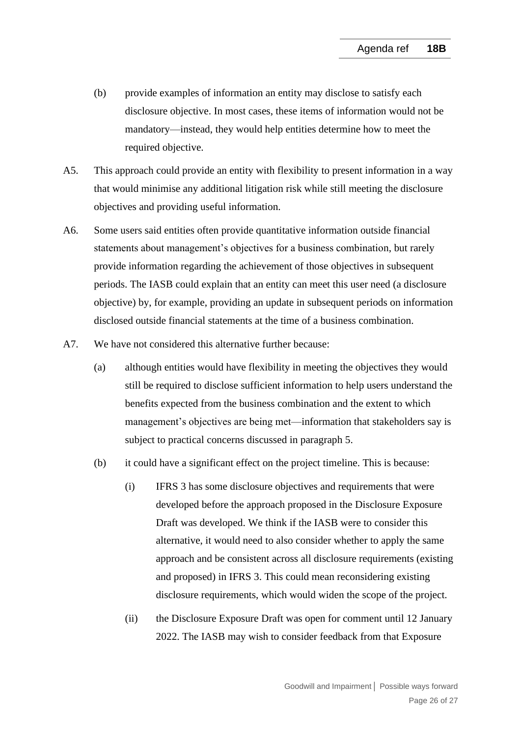- (b) provide examples of information an entity may disclose to satisfy each disclosure objective. In most cases, these items of information would not be mandatory—instead, they would help entities determine how to meet the required objective.
- A5. This approach could provide an entity with flexibility to present information in a way that would minimise any additional litigation risk while still meeting the disclosure objectives and providing useful information.
- A6. Some users said entities often provide quantitative information outside financial statements about management's objectives for a business combination, but rarely provide information regarding the achievement of those objectives in subsequent periods. The IASB could explain that an entity can meet this user need (a disclosure objective) by, for example, providing an update in subsequent periods on information disclosed outside financial statements at the time of a business combination.
- <span id="page-25-0"></span>A7. We have not considered this alternative further because:
	- (a) although entities would have flexibility in meeting the objectives they would still be required to disclose sufficient information to help users understand the benefits expected from the business combination and the extent to which management's objectives are being met—information that stakeholders say is subject to practical concerns discussed in paragraph [5.](#page-1-0)
	- (b) it could have a significant effect on the project timeline. This is because:
		- (i) IFRS 3 has some disclosure objectives and requirements that were developed before the approach proposed in the Disclosure Exposure Draft was developed. We think if the IASB were to consider this alternative, it would need to also consider whether to apply the same approach and be consistent across all disclosure requirements (existing and proposed) in IFRS 3. This could mean reconsidering existing disclosure requirements, which would widen the scope of the project.
		- (ii) the Disclosure Exposure Draft was open for comment until 12 January 2022. The IASB may wish to consider feedback from that Exposure